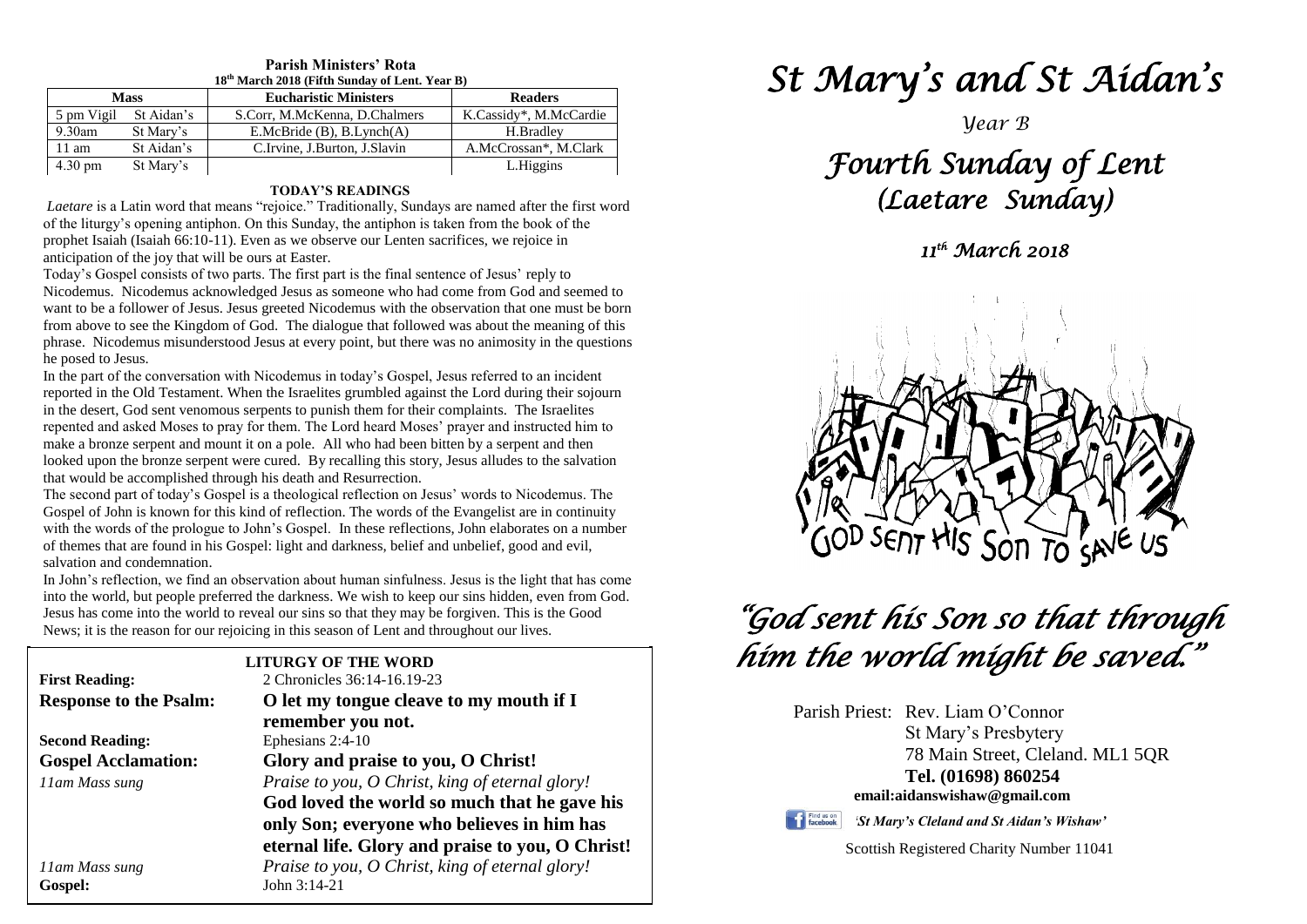| 18 <sup>th</sup> March 2018 (Fifth Sunday of Lent. Year B) |            |                               |                        |  |
|------------------------------------------------------------|------------|-------------------------------|------------------------|--|
| <b>Mass</b>                                                |            | <b>Eucharistic Ministers</b>  | <b>Readers</b>         |  |
| 5 pm Vigil                                                 | St Aidan's | S.Corr, M.McKenna, D.Chalmers | K.Cassidy*, M.McCardie |  |
| $9.30$ am                                                  | St Mary's  | $E.McBride$ (B), $B.Lynch(A)$ | H.Bradlev              |  |
| $11 \text{ am}$                                            | St Aidan's | C.Irvine, J.Burton, J.Slavin  | A.McCrossan*, M.Clark  |  |
| $4.30 \text{ pm}$                                          | St Mary's  |                               | L.Higgins              |  |

## **Parish Ministers' Rota**

#### **TODAY'S READINGS**

Laetare is a Latin word that means "rejoice." Traditionally, Sundays are named after the first word of the liturgy's opening antiphon. On this Sunday, the antiphon is taken from the book of the prophet Isaiah (Isaiah 66:10-11). Even as we observe our Lenten sacrifices, we rejoice in anticipation of the joy that will be ours at Easter.

Today's Gospel consists of two parts. The first part is the final sentence of Jesus' reply to Nicodemus. Nicodemus acknowledged Jesus as someone who had come from God and seemed to want to be a follower of Jesus. Jesus greeted Nicodemus with the observation that one must be born from above to see the Kingdom of God. The dialogue that followed was about the meaning of this phrase. Nicodemus misunderstood Jesus at every point, but there was no animosity in the questions he posed to Jesus.

In the part of the conversation with Nicodemus in today's Gospel, Jesus referred to an incident reported in the Old Testament. When the Israelites grumbled against the Lord during their sojourn in the desert, God sent venomous serpents to punish them for their complaints. The Israelites repented and asked Moses to pray for them. The Lord heard Moses' prayer and instructed him to make a bronze serpent and mount it on a pole. All who had been bitten by a serpent and then looked upon the bronze serpent were cured. By recalling this story, Jesus alludes to the salvation that would be accomplished through his death and Resurrection.

that would be accomplished through his death and Resurrection.<br>The second part of today's Gospel is a theological reflection on Jesus' words to Nicodemus. The<br>Gospel of John is known for this kind of reflection. The words with the words of the protogue to John's Gospel: In these reflections, John elaborates on a nu<br>of themes that are found in his Gospel: light and darkness, belief and unbelief, good and evil,<br>salvation and condemnation. Gospel of John is known for this kind of reflection. The words of the Evangelist are in continuity with the words of the prologue to John's Gospel. In these reflections, John elaborates on a number salvation and condemnation.

In John s reflection, we find an observation about human simultiess. Jesus is the right that has come<br>into the world, but people preferred the darkness. We wish to keep our sins hidden, even from God.<br>Jesus has come into t In John's reflection, we find an observation about human sinfulness. Jesus is the light that has come Jesus has come into the world to reveal our sins so that they may be forgiven. This is the Good

|                               | News; it is the reason for our rejoicing in this season of Lent and throughout our lives.      |  |
|-------------------------------|------------------------------------------------------------------------------------------------|--|
|                               | <b>LITURGY OF THE WORD</b>                                                                     |  |
| <b>First Reading:</b>         | 2 Chronicles 36:14-16.19-23                                                                    |  |
| <b>Response to the Psalm:</b> | O let my tongue cleave to my mouth if I                                                        |  |
|                               | remember you not.                                                                              |  |
| <b>Second Reading:</b>        | Ephesians 2:4-10                                                                               |  |
| <b>Gospel Acclamation:</b>    | Glory and praise to you, O Christ!                                                             |  |
| 11am Mass sung                | Praise to you, O Christ, king of eternal glory!                                                |  |
|                               | God loved the world so much that he gave his                                                   |  |
|                               | only Son; everyone who believes in him has<br>eternal life. Glory and praise to you, O Christ! |  |
| 11am Mass sung<br>Gospel:     | Praise to you, O Christ, king of eternal glory!<br>John 3:14-21                                |  |

# *St Mary's and St Aidan's*

*Year B*

# *Fourth Sunday of Lent (Laetare Sunday)*

*11th March 2018* 



# *"God sent his Son so that through him the world might be saved."*

Parish Priest: Rev. Liam O'Connor St Mary's Presbytery 78 Main Street, Cleland. ML1 5QR **Tel. (01698) 860254 email:aidanswishaw@gmail.com**



*'St Mary's Cleland and St Aidan's Wishaw'*

Scottish Registered Charity Number 11041